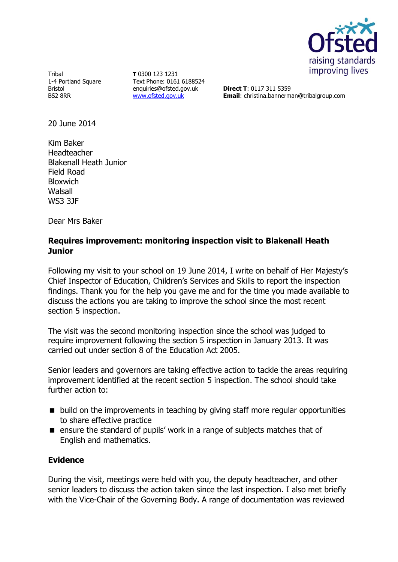

Tribal 1-4 Portland Square Bristol BS2 8RR

**T** 0300 123 1231 Text Phone: 0161 6188524 enquiries@ofsted.gov.uk [www.ofsted.gov.uk](http://www.ofsted.gov.uk/)

**Direct T**: 0117 311 5359 **Email**: christina.bannerman@tribalgroup.com

20 June 2014

Kim Baker Headteacher Blakenall Heath Junior Field Road **Bloxwich** Walsall WS3 3JF

Dear Mrs Baker

## **Requires improvement: monitoring inspection visit to Blakenall Heath Junior**

Following my visit to your school on 19 June 2014, I write on behalf of Her Majesty's Chief Inspector of Education, Children's Services and Skills to report the inspection findings. Thank you for the help you gave me and for the time you made available to discuss the actions you are taking to improve the school since the most recent section 5 inspection.

The visit was the second monitoring inspection since the school was judged to require improvement following the section 5 inspection in January 2013. It was carried out under section 8 of the Education Act 2005.

Senior leaders and governors are taking effective action to tackle the areas requiring improvement identified at the recent section 5 inspection. The school should take further action to:

- $\blacksquare$  build on the improvements in teaching by giving staff more regular opportunities to share effective practice
- **E** ensure the standard of pupils' work in a range of subjects matches that of English and mathematics.

## **Evidence**

During the visit, meetings were held with you, the deputy headteacher, and other senior leaders to discuss the action taken since the last inspection. I also met briefly with the Vice-Chair of the Governing Body. A range of documentation was reviewed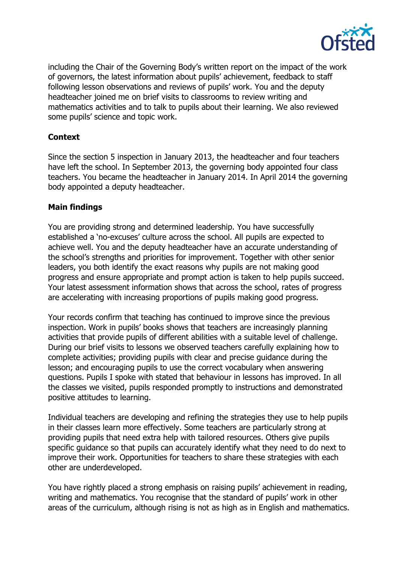

including the Chair of the Governing Body's written report on the impact of the work of governors, the latest information about pupils' achievement, feedback to staff following lesson observations and reviews of pupils' work. You and the deputy headteacher joined me on brief visits to classrooms to review writing and mathematics activities and to talk to pupils about their learning. We also reviewed some pupils' science and topic work.

# **Context**

Since the section 5 inspection in January 2013, the headteacher and four teachers have left the school. In September 2013, the governing body appointed four class teachers. You became the headteacher in January 2014. In April 2014 the governing body appointed a deputy headteacher.

## **Main findings**

You are providing strong and determined leadership. You have successfully established a 'no-excuses' culture across the school. All pupils are expected to achieve well. You and the deputy headteacher have an accurate understanding of the school's strengths and priorities for improvement. Together with other senior leaders, you both identify the exact reasons why pupils are not making good progress and ensure appropriate and prompt action is taken to help pupils succeed. Your latest assessment information shows that across the school, rates of progress are accelerating with increasing proportions of pupils making good progress.

Your records confirm that teaching has continued to improve since the previous inspection. Work in pupils' books shows that teachers are increasingly planning activities that provide pupils of different abilities with a suitable level of challenge. During our brief visits to lessons we observed teachers carefully explaining how to complete activities; providing pupils with clear and precise guidance during the lesson; and encouraging pupils to use the correct vocabulary when answering questions. Pupils I spoke with stated that behaviour in lessons has improved. In all the classes we visited, pupils responded promptly to instructions and demonstrated positive attitudes to learning.

Individual teachers are developing and refining the strategies they use to help pupils in their classes learn more effectively. Some teachers are particularly strong at providing pupils that need extra help with tailored resources. Others give pupils specific guidance so that pupils can accurately identify what they need to do next to improve their work. Opportunities for teachers to share these strategies with each other are underdeveloped.

You have rightly placed a strong emphasis on raising pupils' achievement in reading, writing and mathematics. You recognise that the standard of pupils' work in other areas of the curriculum, although rising is not as high as in English and mathematics.